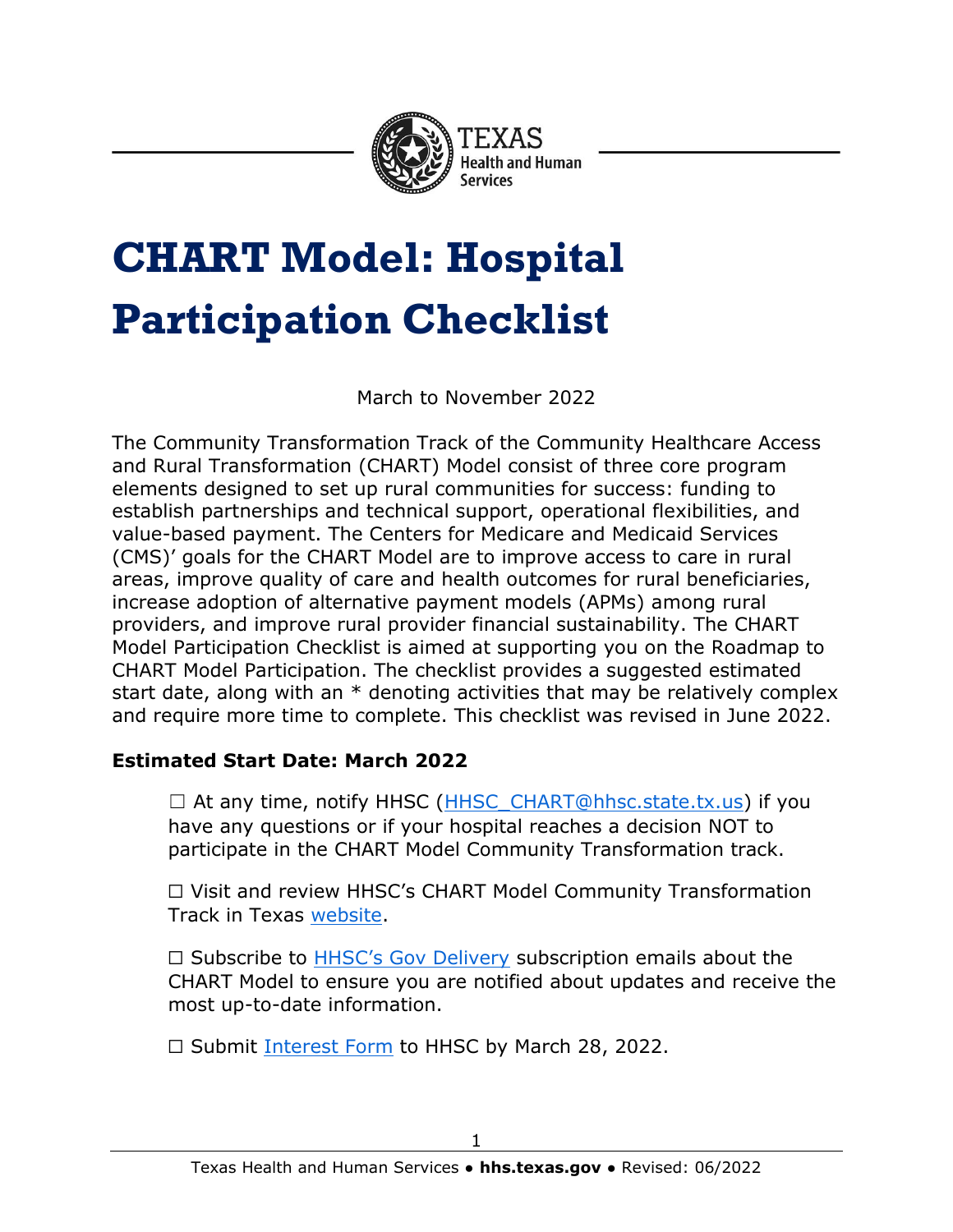

# **CHART Model: Hospital Participation Checklist**

March to November 2022

The Community Transformation Track of the Community Healthcare Access and Rural Transformation (CHART) Model consist of three core program elements designed to set up rural communities for success: funding to establish partnerships and technical support, operational flexibilities, and value-based payment. The Centers for Medicare and Medicaid Services (CMS)' goals for the CHART Model are to improve access to care in rural areas, improve quality of care and health outcomes for rural beneficiaries, increase adoption of alternative payment models (APMs) among rural providers, and improve rural provider financial sustainability. The CHART Model Participation Checklist is aimed at supporting you on the Roadmap to CHART Model Participation. The checklist provides a suggested estimated start date, along with an  $*$  denoting activities that may be relatively complex and require more time to complete. This checklist was revised in June 2022.

### **Estimated Start Date: March 2022**

 $\Box$  At any time, notify HHSC [\(HHSC\\_CHART@hhsc.state.tx.us\)](mailto:HHSC_CHART@hhsc.state.tx.us) if you have any questions or if your hospital reaches a decision NOT to participate in the CHART Model Community Transformation track.

☐ Visit and review HHSC's CHART Model Community Transformation Track in Texas [website.](https://www.hhs.texas.gov/providers/medicaid-supplemental-payment-directed-payment-programs/rural-hospital-grant-facilitation/chart-model-community-transformation-track-texas)

□ Subscribe to [HHSC's Gov Delivery](https://public.govdelivery.com/accounts/TXHHSC/subscriber/new?topic_id=TXHHSC_767) subscription emails about the CHART Model to ensure you are notified about updates and receive the most up-to-date information.

□ Submit [Interest Form](https://forms.office.com/Pages/ResponsePage.aspx?id=Mnf5m7mCm0mxaqk-jr1Ta1C9NzMYYGRGkhavcLrtetVUMUlIWUpJQzdKRTlQWjNVQzczQUhRMjNUVy4u) to HHSC by March 28, 2022.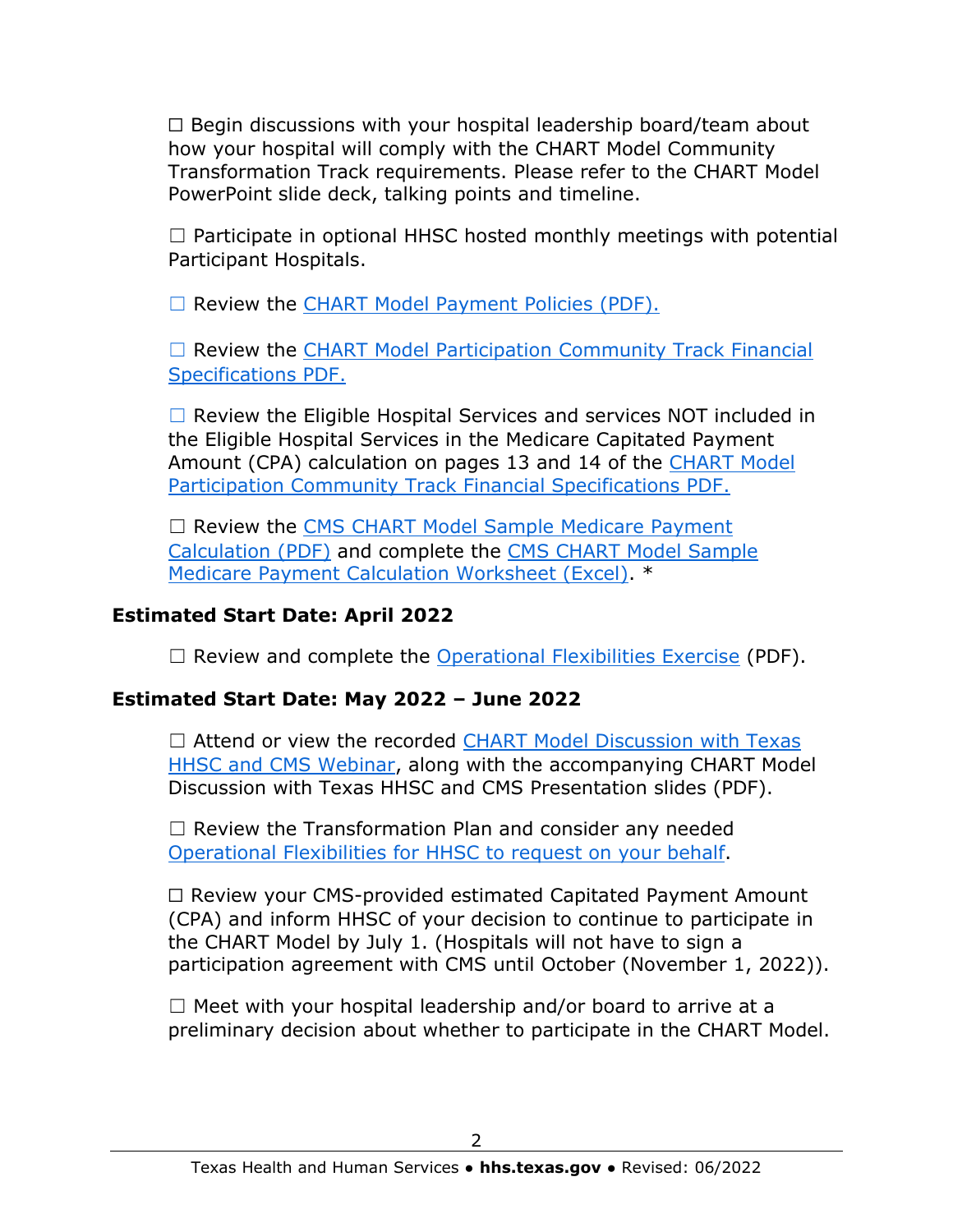$\Box$  Begin discussions with your hospital leadership board/team about how your hospital will comply with the CHART Model Community Transformation Track requirements. Please refer to the CHART Model PowerPoint slide deck, talking points and timeline.

 $\Box$  Participate in optional HHSC hosted monthly meetings with potential Participant Hospitals.

☐ Review the [CHART Model Payment Policies \(PDF\).](https://www.hhs.texas.gov/sites/default/files/documents/doing-business-with-hhs/provider-portal/medicaid-supp-pay/rural-hosp-grant/chart-model-payment-policies-texas.pdf)

□ Review the CHART Model Participation Community Track Financial [Specifications PDF.](https://www.hhs.texas.gov/sites/default/files/documents/chart-model-participation-community-track-financial-specifications.pdf)

 $\Box$  Review the Eligible Hospital Services and services NOT included in the Eligible Hospital Services in the Medicare Capitated Payment Amount (CPA) calculation on pages 13 and 14 of the CHART Model [Participation Community Track Financial Specifications PDF.](https://www.hhs.texas.gov/sites/default/files/documents/chart-model-participation-community-track-financial-specifications.pdf)

☐ Review the [CMS CHART Model Sample Medicare Payment](https://www.hhs.texas.gov/sites/default/files/documents/cms-chart-model-sample-medicare-payment-calculation.pdf)  [Calculation \(PDF\)](https://www.hhs.texas.gov/sites/default/files/documents/cms-chart-model-sample-medicare-payment-calculation.pdf) and complete the [CMS CHART Model Sample](https://www.hhs.texas.gov/sites/default/files/documents/cms-chart-model-sample-medicare-payment-calculation-worksheet.xlsx)  [Medicare Payment Calculation Worksheet \(Excel\).](https://www.hhs.texas.gov/sites/default/files/documents/cms-chart-model-sample-medicare-payment-calculation-worksheet.xlsx) \*

### **Estimated Start Date: April 2022**

 $\Box$  Review and complete the [Operational Flexibilities Exercise](https://www.hhs.texas.gov/sites/default/files/documents/chart-model-operational-flexibilities-exercise.pdf) (PDF).

## **Estimated Start Date: May 2022 – June 2022**

 $\Box$  Attend or view the recorded CHART Model Discussion with Texas [HHSC and CMS Webinar,](https://cmmi.my.salesforce.com/sfc/p/#i0000000iryR/a/t0000002mRVy/aNyvEiVNMHxrIAkas20fHCdqiCHr2VA2A2DTt5DsdDs) along with the accompanying CHART Model Discussion with Texas HHSC and CMS Presentation slides (PDF).

 $\Box$  Review the Transformation Plan and consider any needed [Operational Flexibilities for HHSC to request on your behalf.](https://www.hhs.texas.gov/sites/default/files/documents/chart-model-operational-flexibilities.pdf)

☐ Review your CMS-provided estimated Capitated Payment Amount (CPA) and inform HHSC of your decision to continue to participate in the CHART Model by July 1. (Hospitals will not have to sign a participation agreement with CMS until October (November 1, 2022)).

 $\Box$  Meet with your hospital leadership and/or board to arrive at a preliminary decision about whether to participate in the CHART Model.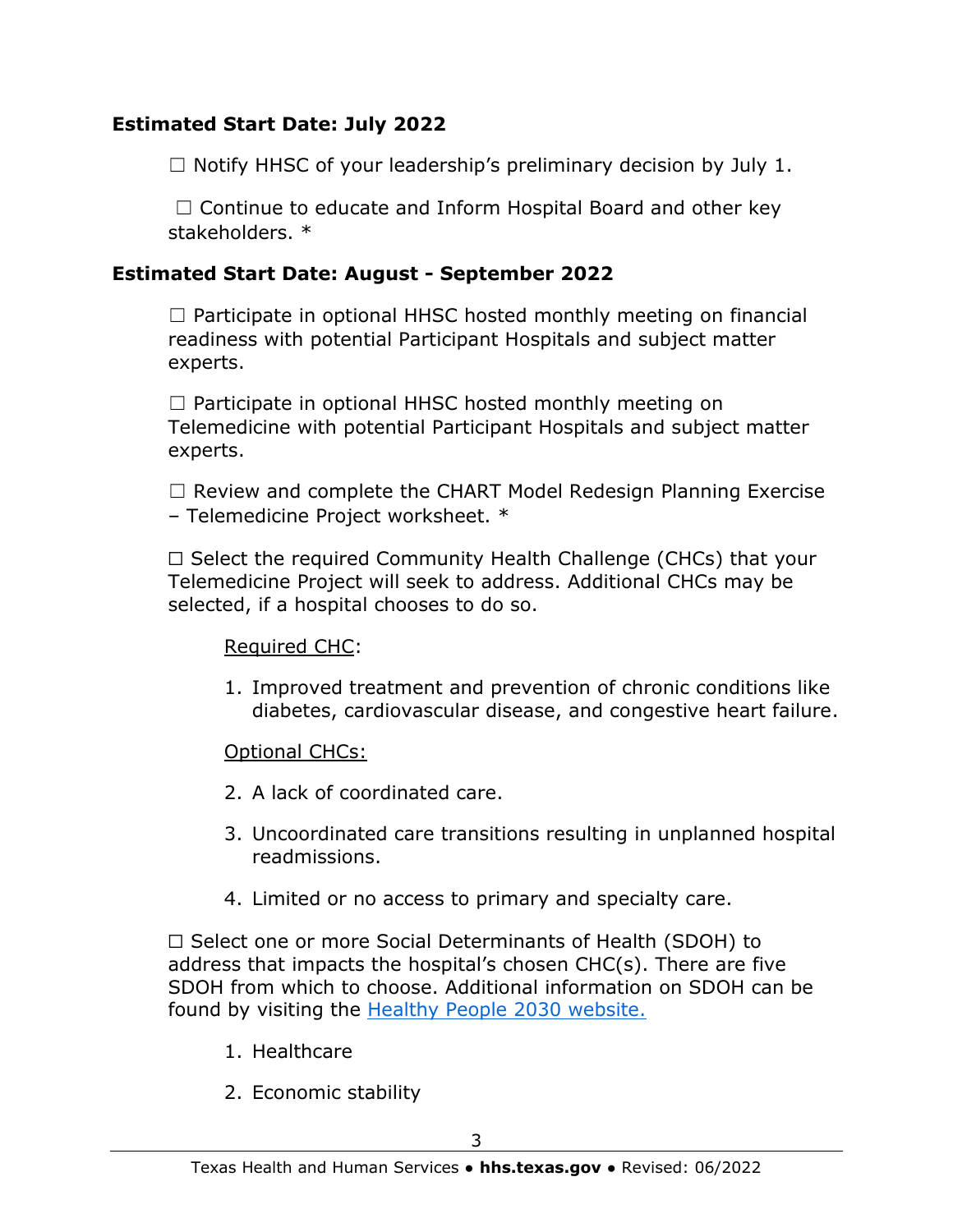### **Estimated Start Date: July 2022**

 $\Box$  Notify HHSC of your leadership's preliminary decision by July 1.

 $\Box$  Continue to educate and Inform Hospital Board and other key stakeholders. \*

### **Estimated Start Date: August - September 2022**

 $\Box$  Participate in optional HHSC hosted monthly meeting on financial readiness with potential Participant Hospitals and subject matter experts.

 $\Box$  Participate in optional HHSC hosted monthly meeting on Telemedicine with potential Participant Hospitals and subject matter experts.

☐ Review and complete the CHART Model Redesign Planning Exercise – Telemedicine Project worksheet. \*

☐ Select the required Community Health Challenge (CHCs) that your Telemedicine Project will seek to address. Additional CHCs may be selected, if a hospital chooses to do so.

#### Required CHC:

1. Improved treatment and prevention of chronic conditions like diabetes, cardiovascular disease, and congestive heart failure.

### Optional CHCs:

- 2. A lack of coordinated care.
- 3. Uncoordinated care transitions resulting in unplanned hospital readmissions.
- 4. Limited or no access to primary and specialty care.

☐ Select one or more Social Determinants of Health (SDOH) to address that impacts the hospital's chosen CHC(s). There are five SDOH from which to choose. Additional information on SDOH can be found by visiting the [Healthy People 2030 website.](https://health.gov/healthypeople/objectives-and-data/social-determinants-health)

- 1. Healthcare
- 2. Economic stability